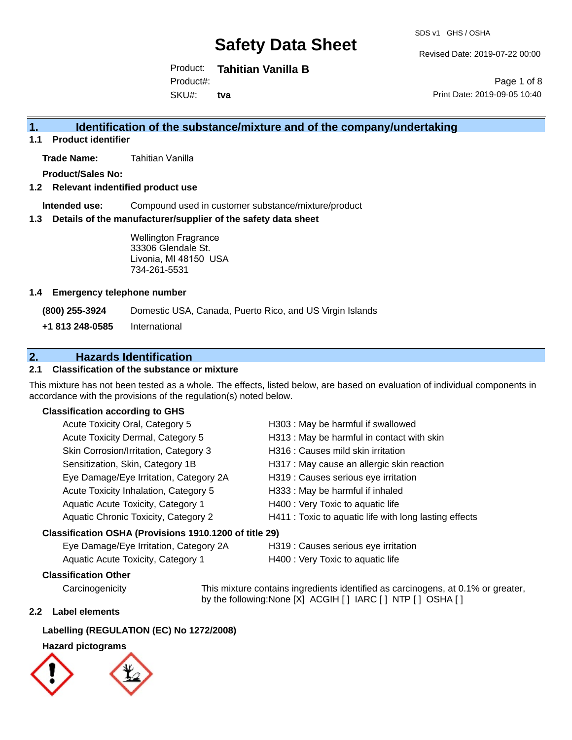SDS v1 GHS / OSHA

Revised Date: 2019-07-22 00:00

Product: **Tahitian Vanilla B** Product#:

SKU#: **tva**

Page 1 of 8 Print Date: 2019-09-05 10:40

# **1. Identification of the substance/mixture and of the company/undertaking**

**1.1 Product identifier**

**Trade Name:** Tahitian Vanilla

**Product/Sales No:**

**1.2 Relevant indentified product use**

**Intended use:** Compound used in customer substance/mixture/product

**1.3 Details of the manufacturer/supplier of the safety data sheet**

Wellington Fragrance 33306 Glendale St. Livonia, MI 48150 USA 734-261-5531

### **1.4 Emergency telephone number**

**(800) 255-3924** Domestic USA, Canada, Puerto Rico, and US Virgin Islands

**+1 813 248-0585** International

# **2. Hazards Identification**

### **2.1 Classification of the substance or mixture**

This mixture has not been tested as a whole. The effects, listed below, are based on evaluation of individual components in accordance with the provisions of the regulation(s) noted below.

### **Classification according to GHS**

| Acute Toxicity Oral, Category 5                        | H303 : May be harmful if swallowed                     |
|--------------------------------------------------------|--------------------------------------------------------|
| Acute Toxicity Dermal, Category 5                      | H313 : May be harmful in contact with skin             |
| Skin Corrosion/Irritation, Category 3                  | H316 : Causes mild skin irritation                     |
| Sensitization, Skin, Category 1B                       | H317 : May cause an allergic skin reaction             |
| Eye Damage/Eye Irritation, Category 2A                 | H319 : Causes serious eye irritation                   |
| Acute Toxicity Inhalation, Category 5                  | H333: May be harmful if inhaled                        |
| Aquatic Acute Toxicity, Category 1                     | H400 : Very Toxic to aquatic life                      |
| Aquatic Chronic Toxicity, Category 2                   | H411 : Toxic to aquatic life with long lasting effects |
| Classification OSHA (Provisions 1910.1200 of title 29) |                                                        |

Eye Damage/Eye Irritation, Category 2A H319 : Causes serious eye irritation

Aquatic Acute Toxicity, Category 1 H400 : Very Toxic to aquatic life

## **Classification Other**

Carcinogenicity This mixture contains ingredients identified as carcinogens, at 0.1% or greater, by the following:None [X] ACGIH [ ] IARC [ ] NTP [ ] OSHA [ ]

### **2.2 Label elements**

## **Labelling (REGULATION (EC) No 1272/2008)**

## **Hazard pictograms**

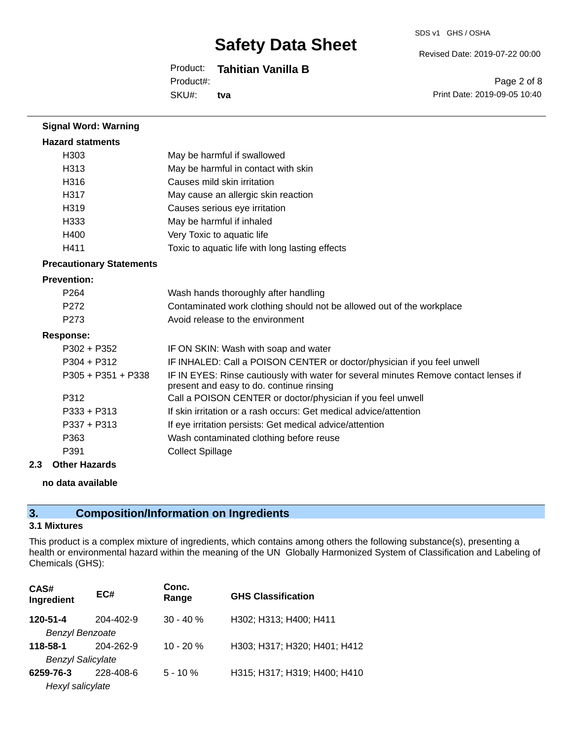#### SDS v1 GHS / OSHA

Revised Date: 2019-07-22 00:00

## Product: **Tahitian Vanilla B**

Product#:

SKU#: **tva**

Page 2 of 8 Print Date: 2019-09-05 10:40

| <b>Signal Word: Warning</b>     |                                                                                                                                  |
|---------------------------------|----------------------------------------------------------------------------------------------------------------------------------|
| <b>Hazard statments</b>         |                                                                                                                                  |
| H <sub>303</sub>                | May be harmful if swallowed                                                                                                      |
| H313                            | May be harmful in contact with skin                                                                                              |
| H316                            | Causes mild skin irritation                                                                                                      |
| H317                            | May cause an allergic skin reaction                                                                                              |
| H319                            | Causes serious eye irritation                                                                                                    |
| H333                            | May be harmful if inhaled                                                                                                        |
| H400                            | Very Toxic to aquatic life                                                                                                       |
| H411                            | Toxic to aquatic life with long lasting effects                                                                                  |
| <b>Precautionary Statements</b> |                                                                                                                                  |
| <b>Prevention:</b>              |                                                                                                                                  |
| P <sub>264</sub>                | Wash hands thoroughly after handling                                                                                             |
| P <sub>272</sub>                | Contaminated work clothing should not be allowed out of the workplace                                                            |
| P <sub>273</sub>                | Avoid release to the environment                                                                                                 |
| <b>Response:</b>                |                                                                                                                                  |
| $P302 + P352$                   | IF ON SKIN: Wash with soap and water                                                                                             |
| $P304 + P312$                   | IF INHALED: Call a POISON CENTER or doctor/physician if you feel unwell                                                          |
| $P305 + P351 + P338$            | IF IN EYES: Rinse cautiously with water for several minutes Remove contact lenses if<br>present and easy to do. continue rinsing |
| P312                            | Call a POISON CENTER or doctor/physician if you feel unwell                                                                      |
| $P333 + P313$                   | If skin irritation or a rash occurs: Get medical advice/attention                                                                |
| $P337 + P313$                   | If eye irritation persists: Get medical advice/attention                                                                         |
| P363                            | Wash contaminated clothing before reuse                                                                                          |
| P391                            | <b>Collect Spillage</b>                                                                                                          |

#### **2.3 Other Hazards**

### **no data available**

# **3. Composition/Information on Ingredients**

## **3.1 Mixtures**

This product is a complex mixture of ingredients, which contains among others the following substance(s), presenting a health or environmental hazard within the meaning of the UN Globally Harmonized System of Classification and Labeling of Chemicals (GHS):

| CAS#<br>Ingredient       | EC#       | Conc.<br>Range | <b>GHS Classification</b>    |
|--------------------------|-----------|----------------|------------------------------|
| 120-51-4                 | 204-402-9 | $30 - 40 \%$   | H302; H313; H400; H411       |
| <b>Benzyl Benzoate</b>   |           |                |                              |
| 118-58-1                 | 204-262-9 | $10 - 20%$     | H303; H317; H320; H401; H412 |
| <b>Benzyl Salicylate</b> |           |                |                              |
| 6259-76-3                | 228-408-6 | $5 - 10%$      | H315; H317; H319; H400; H410 |
| Hexyl salicylate         |           |                |                              |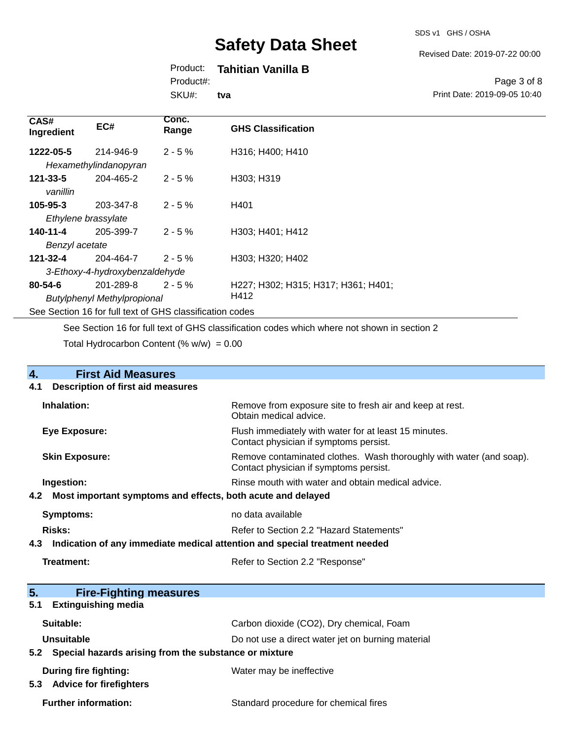#### Revised Date: 2019-07-22 00:00

## Product: **Tahitian Vanilla B**

Product#:

SKU#: **tva**

#### Page 3 of 8 Print Date: 2019-09-05 10:40

| CAS#<br>Ingredient | EC#                                                      | Conc.<br>Range | <b>GHS Classification</b>           |
|--------------------|----------------------------------------------------------|----------------|-------------------------------------|
| 1222-05-5          | 214-946-9                                                | $2 - 5%$       | H316; H400; H410                    |
|                    | Hexamethylindanopyran                                    |                |                                     |
| $121 - 33 - 5$     | 204-465-2                                                | $2 - 5%$       | H303; H319                          |
| vanillin           |                                                          |                |                                     |
| $105 - 95 - 3$     | 203-347-8                                                | $2 - 5%$       | H401                                |
|                    | Ethylene brassylate                                      |                |                                     |
| 140-11-4           | 205-399-7                                                | $2 - 5%$       | H303; H401; H412                    |
| Benzyl acetate     |                                                          |                |                                     |
| 121-32-4           | 204-464-7                                                | $2 - 5%$       | H303; H320; H402                    |
|                    | 3-Ethoxy-4-hydroxybenzaldehyde                           |                |                                     |
| $80 - 54 - 6$      | 201-289-8                                                | $2 - 5%$       | H227; H302; H315; H317; H361; H401; |
|                    | <b>Butylphenyl Methylpropional</b>                       |                | H412                                |
|                    | See Section 16 for full text of GHS classification codes |                |                                     |

See Section 16 for full text of GHS classification codes which where not shown in section 2

Total Hydrocarbon Content  $(\% w/w) = 0.00$ 

| 4.  | <b>First Aid Measures</b>                                                  |                                                                                                               |
|-----|----------------------------------------------------------------------------|---------------------------------------------------------------------------------------------------------------|
| 4.1 | <b>Description of first aid measures</b>                                   |                                                                                                               |
|     | Inhalation:                                                                | Remove from exposure site to fresh air and keep at rest.<br>Obtain medical advice.                            |
|     | Eye Exposure:                                                              | Flush immediately with water for at least 15 minutes.<br>Contact physician if symptoms persist.               |
|     | <b>Skin Exposure:</b>                                                      | Remove contaminated clothes. Wash thoroughly with water (and soap).<br>Contact physician if symptoms persist. |
|     | Ingestion:                                                                 | Rinse mouth with water and obtain medical advice.                                                             |
| 4.2 | Most important symptoms and effects, both acute and delayed                |                                                                                                               |
|     | <b>Symptoms:</b>                                                           | no data available                                                                                             |
|     | Risks:<br>Refer to Section 2.2 "Hazard Statements"                         |                                                                                                               |
| 4.3 | Indication of any immediate medical attention and special treatment needed |                                                                                                               |
|     | Treatment:                                                                 | Refer to Section 2.2 "Response"                                                                               |
| 5.  | <b>Fire-Fighting measures</b>                                              |                                                                                                               |
| 5.1 | <b>Extinguishing media</b>                                                 |                                                                                                               |
|     | Suitable:                                                                  | Carbon dioxide (CO2), Dry chemical, Foam                                                                      |
|     | Unsuitable                                                                 | Do not use a direct water jet on burning material                                                             |
| 5.2 | Special hazards arising from the substance or mixture                      |                                                                                                               |
|     | <b>During fire fighting:</b>                                               | Water may be ineffective                                                                                      |

**5.3 Advice for firefighters**

Further information: **Further information:** Standard procedure for chemical fires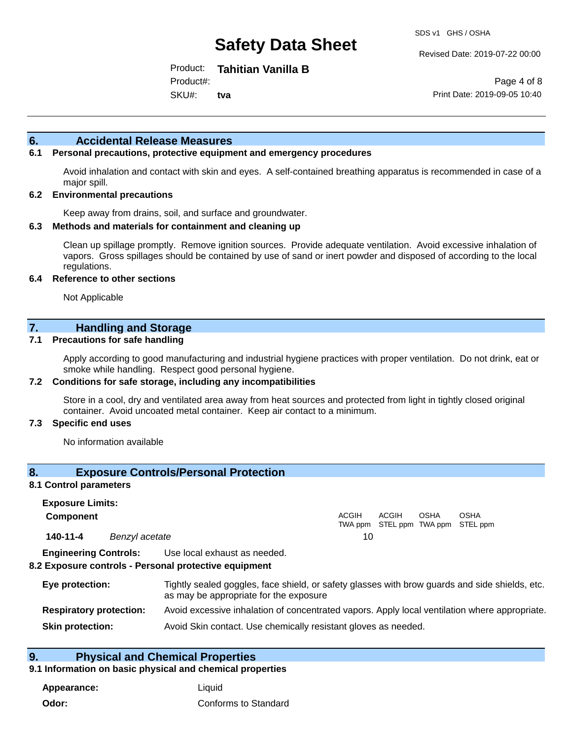Revised Date: 2019-07-22 00:00

Product: **Tahitian Vanilla B** Product#:

SKU#: **tva**

Page 4 of 8 Print Date: 2019-09-05 10:40

### **6. Accidental Release Measures**

### **6.1 Personal precautions, protective equipment and emergency procedures**

Avoid inhalation and contact with skin and eyes. A self-contained breathing apparatus is recommended in case of a major spill.

#### **6.2 Environmental precautions**

Keep away from drains, soil, and surface and groundwater.

#### **6.3 Methods and materials for containment and cleaning up**

Clean up spillage promptly. Remove ignition sources. Provide adequate ventilation. Avoid excessive inhalation of vapors. Gross spillages should be contained by use of sand or inert powder and disposed of according to the local regulations.

#### **6.4 Reference to other sections**

Not Applicable

## **7. Handling and Storage**

#### **7.1 Precautions for safe handling**

Apply according to good manufacturing and industrial hygiene practices with proper ventilation. Do not drink, eat or smoke while handling. Respect good personal hygiene.

#### **7.2 Conditions for safe storage, including any incompatibilities**

Store in a cool, dry and ventilated area away from heat sources and protected from light in tightly closed original container. Avoid uncoated metal container. Keep air contact to a minimum.

#### **7.3 Specific end uses**

No information available

### **8. Exposure Controls/Personal Protection**

#### **8.1 Control parameters**

**Exposure Limits: Component** ACGIH TWA ppm STEL ppm TWA ppm STEL ppm ACGIH OSHA OSHA **140-11-4** *Benzyl acetate* 10

**Engineering Controls:** Use local exhaust as needed.

#### **8.2 Exposure controls - Personal protective equipment**

| Eye protection:                | Tightly sealed goggles, face shield, or safety glasses with brow guards and side shields, etc.<br>as may be appropriate for the exposure |
|--------------------------------|------------------------------------------------------------------------------------------------------------------------------------------|
| <b>Respiratory protection:</b> | Avoid excessive inhalation of concentrated vapors. Apply local ventilation where appropriate.                                            |
| <b>Skin protection:</b>        | Avoid Skin contact. Use chemically resistant gloves as needed.                                                                           |

### **9. Physical and Chemical Properties**

#### **9.1 Information on basic physical and chemical properties**

**Appearance:** Liquid **Odor:** Conforms to Standard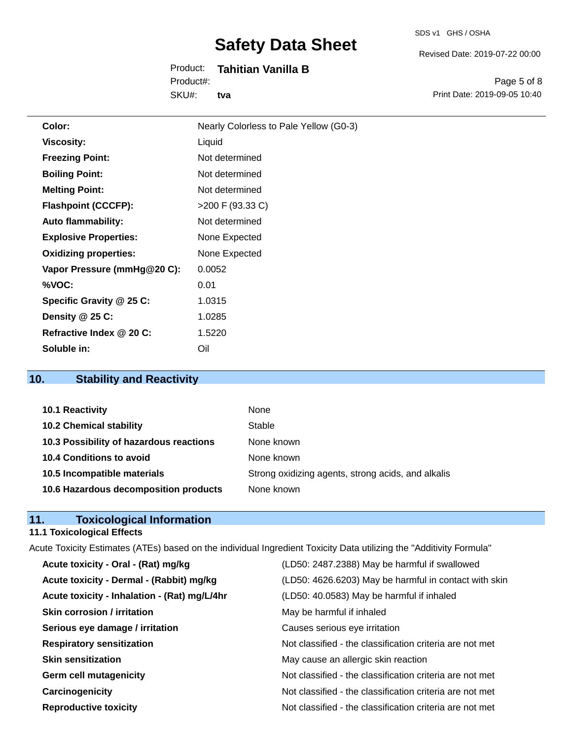#### SDS v1 GHS / OSHA

Revised Date: 2019-07-22 00:00

### Product: **Tahitian Vanilla B** Product#:

SKU#: **tva**

Page 5 of 8 Print Date: 2019-09-05 10:40

| Color:                       | Nearly Colorless to Pale Yellow (G0-3) |
|------------------------------|----------------------------------------|
| <b>Viscosity:</b>            | Liquid                                 |
| <b>Freezing Point:</b>       | Not determined                         |
| <b>Boiling Point:</b>        | Not determined                         |
| <b>Melting Point:</b>        | Not determined                         |
| <b>Flashpoint (CCCFP):</b>   | $>200$ F (93.33 C)                     |
| <b>Auto flammability:</b>    | Not determined                         |
| <b>Explosive Properties:</b> | None Expected                          |
| <b>Oxidizing properties:</b> | None Expected                          |
| Vapor Pressure (mmHg@20 C):  | 0.0052                                 |
| %VOC:                        | 0.01                                   |
| Specific Gravity @ 25 C:     | 1.0315                                 |
| Density @ 25 C:              | 1.0285                                 |
| Refractive Index @ 20 C:     | 1.5220                                 |
| Soluble in:                  | Oil                                    |

# **10. Stability and Reactivity**

| <b>10.1 Reactivity</b>                  | None                                               |
|-----------------------------------------|----------------------------------------------------|
| <b>10.2 Chemical stability</b>          | Stable                                             |
| 10.3 Possibility of hazardous reactions | None known                                         |
| 10.4 Conditions to avoid                | None known                                         |
| 10.5 Incompatible materials             | Strong oxidizing agents, strong acids, and alkalis |
| 10.6 Hazardous decomposition products   | None known                                         |

## **11. Toxicological Information**

# **11.1 Toxicological Effects**

| Acute Toxicity Estimates (ATEs) based on the individual Ingredient Toxicity Data utilizing the "Additivity Formula" |                                                          |  |  |
|---------------------------------------------------------------------------------------------------------------------|----------------------------------------------------------|--|--|
| Acute toxicity - Oral - (Rat) mg/kg                                                                                 | (LD50: 2487.2388) May be harmful if swallowed            |  |  |
| Acute toxicity - Dermal - (Rabbit) mg/kg                                                                            | (LD50: 4626.6203) May be harmful in contact with skin    |  |  |
| Acute toxicity - Inhalation - (Rat) mg/L/4hr                                                                        | (LD50: 40.0583) May be harmful if inhaled                |  |  |
| Skin corrosion / irritation                                                                                         | May be harmful if inhaled                                |  |  |
| Serious eye damage / irritation                                                                                     | Causes serious eye irritation                            |  |  |
| <b>Respiratory sensitization</b>                                                                                    | Not classified - the classification criteria are not met |  |  |
| <b>Skin sensitization</b>                                                                                           | May cause an allergic skin reaction                      |  |  |
| <b>Germ cell mutagenicity</b>                                                                                       | Not classified - the classification criteria are not met |  |  |
| Carcinogenicity                                                                                                     | Not classified - the classification criteria are not met |  |  |
| <b>Reproductive toxicity</b>                                                                                        | Not classified - the classification criteria are not met |  |  |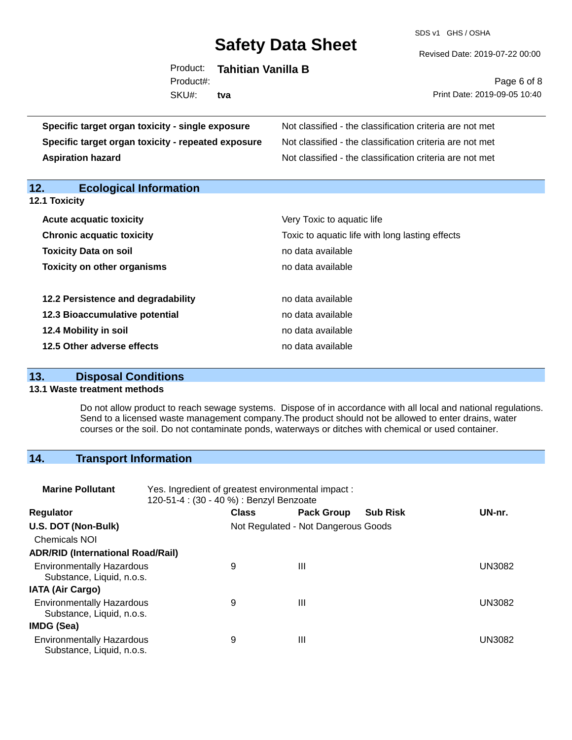SDS v1 GHS / OSHA

Revised Date: 2019-07-22 00:00

|           | Product: Tahitian Vanilla B |
|-----------|-----------------------------|
| Product#: |                             |
| SKU#: tva |                             |
|           |                             |

Page 6 of 8 Print Date: 2019-09-05 10:40

| Specific target organ toxicity - single exposure   | Not classified - the classification criteria are not met<br>Not classified - the classification criteria are not met<br>Not classified - the classification criteria are not met |  |  |  |
|----------------------------------------------------|----------------------------------------------------------------------------------------------------------------------------------------------------------------------------------|--|--|--|
| Specific target organ toxicity - repeated exposure |                                                                                                                                                                                  |  |  |  |
| <b>Aspiration hazard</b>                           |                                                                                                                                                                                  |  |  |  |
| 12.<br><b>Ecological Information</b>               |                                                                                                                                                                                  |  |  |  |
| <b>12.1 Toxicity</b>                               |                                                                                                                                                                                  |  |  |  |
| <b>Acute acquatic toxicity</b>                     | Very Toxic to aquatic life                                                                                                                                                       |  |  |  |
| <b>Chronic acquatic toxicity</b>                   | Toxic to aquatic life with long lasting effects                                                                                                                                  |  |  |  |
| <b>Toxicity Data on soil</b>                       | no data available                                                                                                                                                                |  |  |  |
| <b>Toxicity on other organisms</b>                 | no data available                                                                                                                                                                |  |  |  |
| 12.2 Persistence and degradability                 | no data available                                                                                                                                                                |  |  |  |
| 12.3 Bioaccumulative potential                     | no data available                                                                                                                                                                |  |  |  |
| 12.4 Mobility in soil                              | no data available                                                                                                                                                                |  |  |  |
| 12.5 Other adverse effects                         | no data available                                                                                                                                                                |  |  |  |

# **13. Disposal Conditions**

#### **13.1 Waste treatment methods**

Do not allow product to reach sewage systems. Dispose of in accordance with all local and national regulations. Send to a licensed waste management company.The product should not be allowed to enter drains, water courses or the soil. Do not contaminate ponds, waterways or ditches with chemical or used container.

# **14. Transport Information**

| <b>Marine Pollutant</b>                                       | Yes. Ingredient of greatest environmental impact:<br>120-51-4 : (30 - 40 %) : Benzyl Benzoate |              |                                     |                 |               |
|---------------------------------------------------------------|-----------------------------------------------------------------------------------------------|--------------|-------------------------------------|-----------------|---------------|
| <b>Regulator</b>                                              |                                                                                               | <b>Class</b> | <b>Pack Group</b>                   | <b>Sub Risk</b> | UN-nr.        |
| U.S. DOT (Non-Bulk)                                           |                                                                                               |              | Not Regulated - Not Dangerous Goods |                 |               |
| <b>Chemicals NOI</b>                                          |                                                                                               |              |                                     |                 |               |
| <b>ADR/RID (International Road/Rail)</b>                      |                                                                                               |              |                                     |                 |               |
| <b>Environmentally Hazardous</b><br>Substance, Liquid, n.o.s. |                                                                                               | 9            | Ш                                   |                 | <b>UN3082</b> |
| <b>IATA (Air Cargo)</b>                                       |                                                                                               |              |                                     |                 |               |
| <b>Environmentally Hazardous</b><br>Substance, Liquid, n.o.s. |                                                                                               | 9            | Ш                                   |                 | <b>UN3082</b> |
| IMDG (Sea)                                                    |                                                                                               |              |                                     |                 |               |
| <b>Environmentally Hazardous</b><br>Substance, Liquid, n.o.s. |                                                                                               | 9            | Ш                                   |                 | <b>UN3082</b> |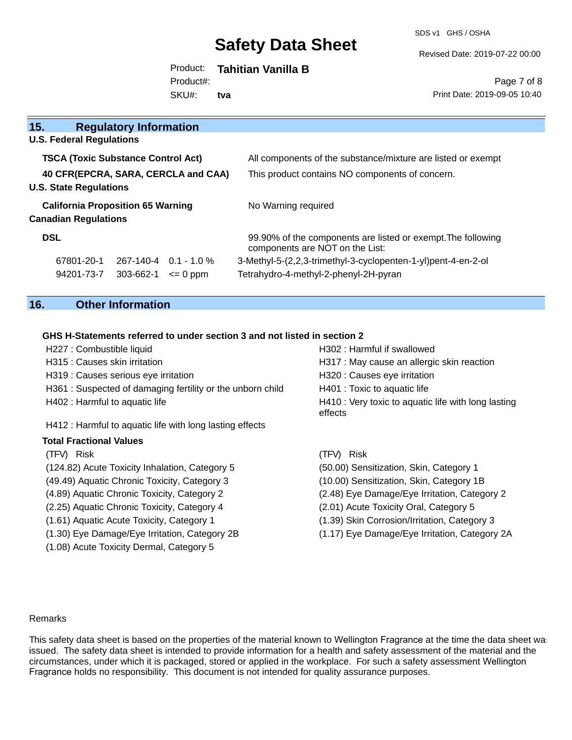SDS v1 GHS / OSHA

Revised Date: 2019-07-22 00:00

#### Product: **Tahitian Vanilla B** SKU#: Product#: **tva**

Page 7 of 8 Print Date: 2019-09-05 10:40

| 15.<br><b>Regulatory Information</b>      |                                                                                                 |
|-------------------------------------------|-------------------------------------------------------------------------------------------------|
| <b>U.S. Federal Regulations</b>           |                                                                                                 |
| <b>TSCA (Toxic Substance Control Act)</b> | All components of the substance/mixture are listed or exempt                                    |
| 40 CFR(EPCRA, SARA, CERCLA and CAA)       | This product contains NO components of concern.                                                 |
| <b>U.S. State Regulations</b>             |                                                                                                 |
| <b>California Proposition 65 Warning</b>  | No Warning required                                                                             |
| <b>Canadian Regulations</b>               |                                                                                                 |
| <b>DSL</b>                                | 99.90% of the components are listed or exempt. The following<br>components are NOT on the List: |
| $267-140-4$ 0.1 - 1.0 %<br>67801-20-1     | 3-Methyl-5-(2,2,3-trimethyl-3-cyclopenten-1-yl)pent-4-en-2-ol                                   |
| 303-662-1<br>94201-73-7<br>$\leq$ 0 ppm   | Tetrahydro-4-methyl-2-phenyl-2H-pyran                                                           |

# **16. Other Information**

(1.08) Acute Toxicity Dermal, Category 5

### **GHS H-Statements referred to under section 3 and not listed in section 2**

| H227 : Combustible liquid                                 | H302 : Harmful if swallowed                                    |
|-----------------------------------------------------------|----------------------------------------------------------------|
| H315 : Causes skin irritation                             | H317 : May cause an allergic skin reaction                     |
| H319 : Causes serious eye irritation                      | H320 : Causes eye irritation                                   |
| H361: Suspected of damaging fertility or the unborn child | H401 : Toxic to aquatic life                                   |
| H402 : Harmful to aquatic life                            | H410 : Very toxic to aquatic life with long lasting<br>effects |
| H412 : Harmful to aquatic life with long lasting effects  |                                                                |
| <b>Total Fractional Values</b>                            |                                                                |
| (TFV) Risk                                                | (TFV) Risk                                                     |
| (124.82) Acute Toxicity Inhalation, Category 5            | (50.00) Sensitization, Skin, Category 1                        |
| (49.49) Aquatic Chronic Toxicity, Category 3              | (10.00) Sensitization, Skin, Category 1B                       |
| (4.89) Aquatic Chronic Toxicity, Category 2               | (2.48) Eye Damage/Eye Irritation, Category 2                   |
| (2.25) Aquatic Chronic Toxicity, Category 4               | (2.01) Acute Toxicity Oral, Category 5                         |
| (1.61) Aquatic Acute Toxicity, Category 1                 | (1.39) Skin Corrosion/Irritation, Category 3                   |
| (1.30) Eye Damage/Eye Irritation, Category 2B             | (1.17) Eye Damage/Eye Irritation, Category 2A                  |

#### Remarks

This safety data sheet is based on the properties of the material known to Wellington Fragrance at the time the data sheet was issued. The safety data sheet is intended to provide information for a health and safety assessment of the material and the circumstances, under which it is packaged, stored or applied in the workplace. For such a safety assessment Wellington Fragrance holds no responsibility. This document is not intended for quality assurance purposes.